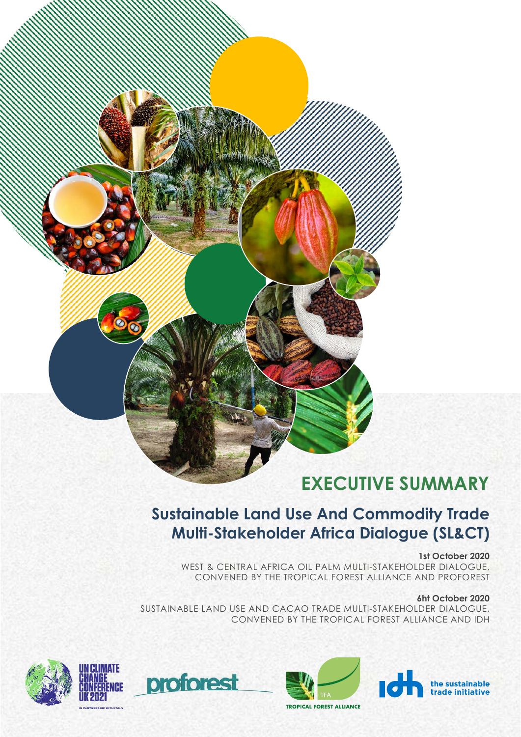# **EXECUTIVE SUMMARY**

### **Sustainable Land Use And Commodity Trade Multi-Stakeholder Africa Dialogue (SL&CT)**

**1st October 2020**

WEST & CENTRAL AFRICA OIL PALM MULTI-STAKEHOLDER DIALOGUE, CONVENED BY THE TROPICAL FOREST ALLIANCE AND PROFOREST

#### **6ht October 2020**

SUSTAINABLE LAND USE AND CACAO TRADE MULTI-STAKEHOLDER DIALOGUE, CONVENED BY THE TROPICAL FOREST ALLIANCE AND IDH



proforest



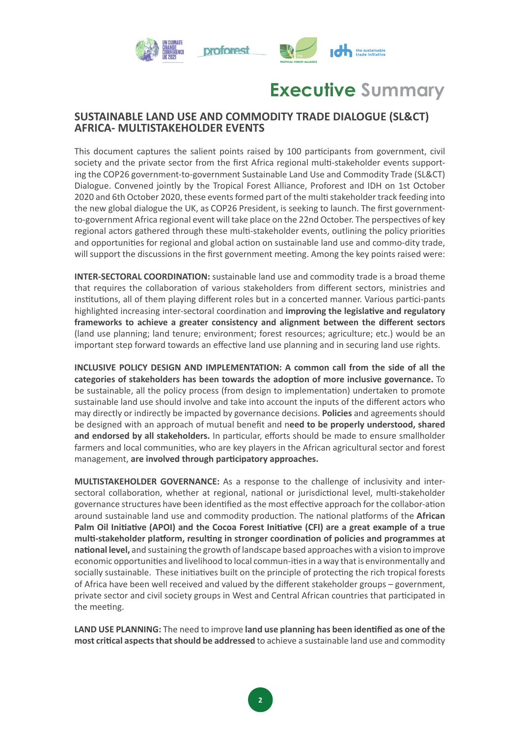

## **Executive Summary**

### **SUSTAINABLE LAND USE AND COMMODITY TRADE DIALOGUE (SL&CT) AFRICA- MULTISTAKEHOLDER EVENTS**

This document captures the salient points raised by 100 partcipants from government, civil society and the private sector from the frst Africa regional mult-stakeholder events supporting the COP26 government-to-government Sustainable Land Use and Commodity Trade (SL&CT) Dialogue. Convened jointly by the Tropical Forest Alliance, Proforest and IDH on 1st October 2020 and 6th October 2020, these events formed part of the multi stakeholder track feeding into the new global dialogue the UK, as COP26 President, is seeking to launch. The frst governmentto-government Africa regional event will take place on the 22nd October. The perspectives of key regional actors gathered through these mult-stakeholder events, outlining the policy priorites and opportunities for regional and global action on sustainable land use and commo-dity trade, will support the discussions in the first government meeting. Among the key points raised were:

**INTER-SECTORAL COORDINATION:** sustainable land use and commodity trade is a broad theme that requires the collaboration of various stakeholders from different sectors, ministries and insttutons, all of them playing diferent roles but in a concerted manner. Various partci-pants highlighted increasing inter-sectoral coordinaton and **improving the legislatve and regulatory frameworks to achieve a greater consistency and alignment between the diferent sectors** (land use planning; land tenure; environment; forest resources; agriculture; etc.) would be an important step forward towards an effective land use planning and in securing land use rights.

**INCLUSIVE POLICY DESIGN AND IMPLEMENTATION: A common call from the side of all the categories of stakeholders has been towards the adopton of more inclusive governance.** To be sustainable, all the policy process (from design to implementaton) undertaken to promote sustainable land use should involve and take into account the inputs of the diferent actors who may directly or indirectly be impacted by governance decisions. **Policies** and agreements should be designed with an approach of mutual beneft and n**eed to be properly understood, shared**  and endorsed by all stakeholders. In particular, efforts should be made to ensure smallholder farmers and local communites, who are key players in the African agricultural sector and forest management, **are involved through partcipatory approaches.** 

**MULTISTAKEHOLDER GOVERNANCE:** As a response to the challenge of inclusivity and intersectoral collaboration, whether at regional, national or jurisdictional level, multi-stakeholder governance structures have been identified as the most effective approach for the collabor-ation around sustainable land use and commodity production. The national platforms of the **African Palm Oil Initatve (APOI) and the Cocoa Forest Initatve (CFI) are a great example of a true**  multi-stakeholder platform, resulting in stronger coordination of policies and programmes at **natonal level,** and sustaining the growth of landscape based approaches with a vision to improve economic opportunites and livelihood to local commun-ites in a way that is environmentally and socially sustainable. These initiatives built on the principle of protecting the rich tropical forests of Africa have been well received and valued by the diferent stakeholder groups – government, private sector and civil society groups in West and Central African countries that participated in the meeting.

LAND USE PLANNING: The need to improve land use planning has been identified as one of the **most critcal aspects that should be addressed** to achieve a sustainable land use and commodity